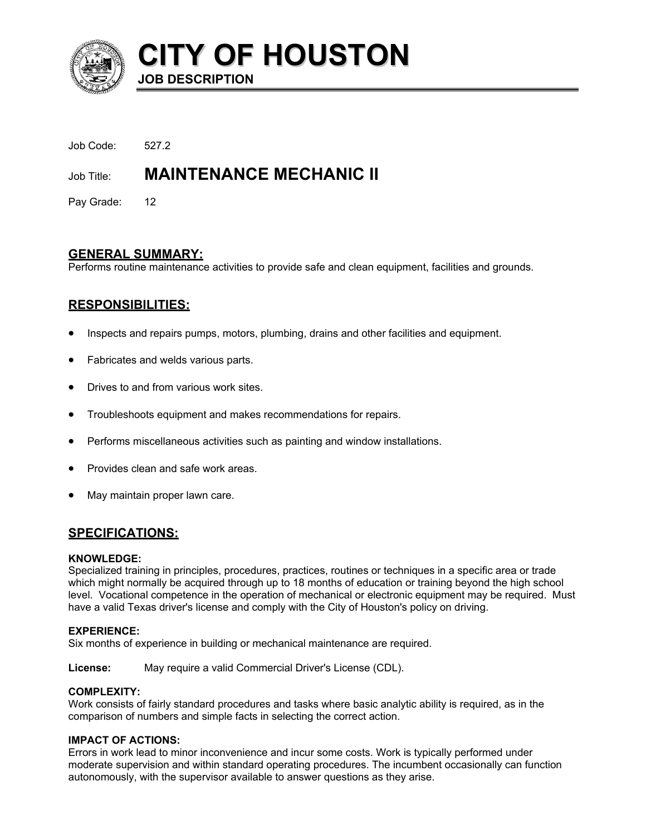

**CITY OF HOUSTON JOB DESCRIPTION** 

Job Code: 527.2

# Job Title: **MAINTENANCE MECHANIC II**

Pay Grade: 12

# **GENERAL SUMMARY:**

Performs routine maintenance activities to provide safe and clean equipment, facilities and grounds.

# **RESPONSIBILITIES:**

- Inspects and repairs pumps, motors, plumbing, drains and other facilities and equipment.
- Fabricates and welds various parts.
- Drives to and from various work sites.
- Troubleshoots equipment and makes recommendations for repairs.
- Performs miscellaneous activities such as painting and window installations.
- Provides clean and safe work areas.
- May maintain proper lawn care.

# **SPECIFICATIONS:**

## **KNOWLEDGE:**

Specialized training in principles, procedures, practices, routines or techniques in a specific area or trade which might normally be acquired through up to 18 months of education or training beyond the high school level. Vocational competence in the operation of mechanical or electronic equipment may be required. Must have a valid Texas driver's license and comply with the City of Houston's policy on driving.

## **EXPERIENCE:**

Six months of experience in building or mechanical maintenance are required.

**License:** May require a valid Commercial Driver's License (CDL).

# **COMPLEXITY:**

Work consists of fairly standard procedures and tasks where basic analytic ability is required, as in the comparison of numbers and simple facts in selecting the correct action.

## **IMPACT OF ACTIONS:**

Errors in work lead to minor inconvenience and incur some costs. Work is typically performed under moderate supervision and within standard operating procedures. The incumbent occasionally can function autonomously, with the supervisor available to answer questions as they arise.